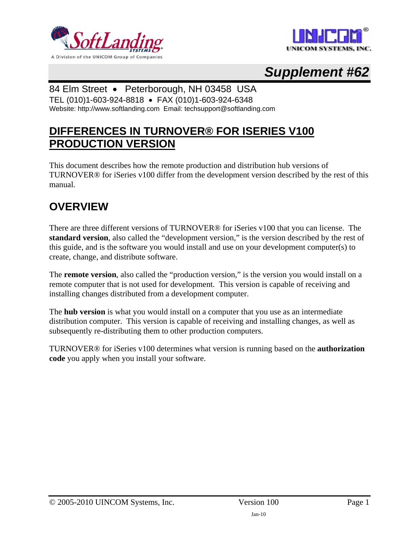



# *Supplement #62*

#### 84 Elm Street • Peterborough, NH 03458 USA

TEL (010)1-603-924-8818 • FAX (010)1-603-924-6348 Website: http://www.softlanding.com Email: techsupport@softlanding.com

#### **DIFFERENCES IN TURNOVER® FOR ISERIES V100 PRODUCTION VERSION**

This document describes how the remote production and distribution hub versions of TURNOVER® for iSeries v100 differ from the development version described by the rest of this manual.

### **OVERVIEW**

There are three different versions of TURNOVER® for iSeries v100 that you can license. The **standard version**, also called the "development version," is the version described by the rest of this guide, and is the software you would install and use on your development computer(s) to create, change, and distribute software.

The **remote version**, also called the "production version," is the version you would install on a remote computer that is not used for development. This version is capable of receiving and installing changes distributed from a development computer.

The **hub version** is what you would install on a computer that you use as an intermediate distribution computer. This version is capable of receiving and installing changes, as well as subsequently re-distributing them to other production computers.

TURNOVER® for iSeries v100 determines what version is running based on the **authorization code** you apply when you install your software.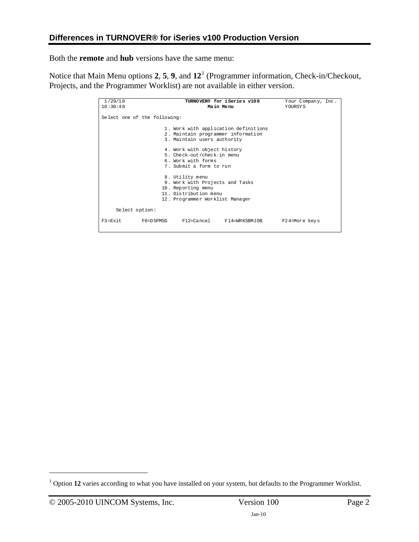Both the **remote** and **hub** versions have the same menu:

Notice that Main Menu options **2**, **5**, **9**, and **12**[1](#page-1-0) (Programmer information, Check-in/Checkout, Projects, and the Programmer Worklist) are not available in either version.

| 1/29/10                      | TURNOVER® for iSeries v100                                                                                                           | Your Company, Inc. |
|------------------------------|--------------------------------------------------------------------------------------------------------------------------------------|--------------------|
| 10:30:48                     | Main Menu                                                                                                                            | YOURSYS            |
| Select one of the following: |                                                                                                                                      |                    |
|                              | 1. Work with application definitions<br>2. Maintain programmer information<br>3. Maintain users authority                            |                    |
|                              | 4. Work with object history<br>5. Check-out/check-in menu<br>6. Work with forms<br>7. Submit a form to run                           |                    |
|                              | 8. Utility menu<br>9. Work with Projects and Tasks<br>10. Reporting menu<br>11. Distribution menu<br>12. Programmer Worklist Manager |                    |
| Select option:               |                                                                                                                                      |                    |
| $F3 = Fx$ it.<br>F6=DSPMSG   | F12=Cancel F14=WRKSBMJOB                                                                                                             | F24=More keys      |

 $\overline{a}$ 

<span id="page-1-0"></span><sup>&</sup>lt;sup>1</sup> Option 12 varies according to what you have installed on your system, but defaults to the Programmer Worklist.